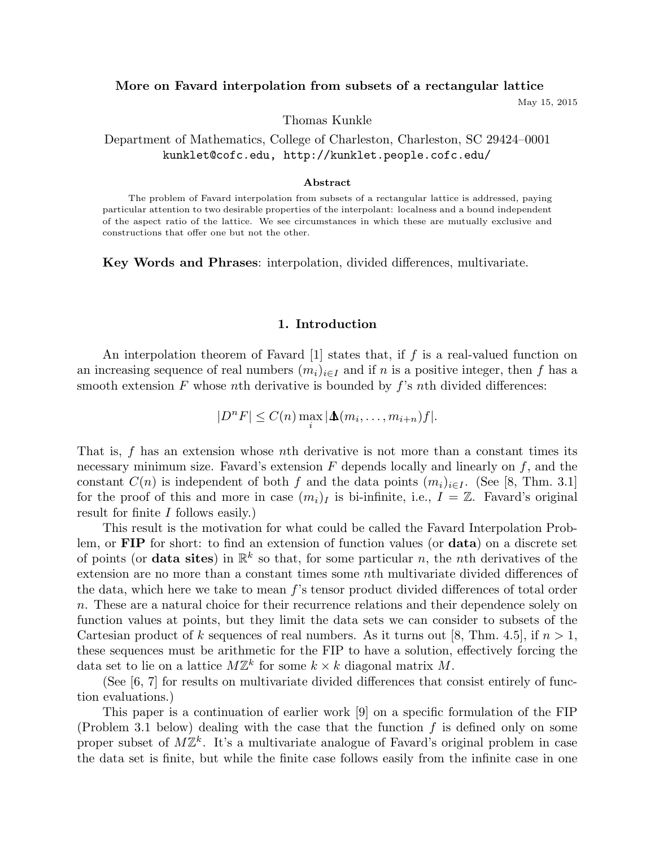# More on Favard interpolation from subsets of a rectangular lattice

May 15, 2015

Thomas Kunkle

Department of Mathematics, College of Charleston, Charleston, SC 29424–0001 kunklet@cofc.edu, http://kunklet.people.cofc.edu/

#### Abstract

The problem of Favard interpolation from subsets of a rectangular lattice is addressed, paying particular attention to two desirable properties of the interpolant: localness and a bound independent of the aspect ratio of the lattice. We see circumstances in which these are mutually exclusive and constructions that offer one but not the other.

Key Words and Phrases: interpolation, divided differences, multivariate.

### 1. Introduction

An interpolation theorem of Favard  $[1]$  states that, if f is a real-valued function on an increasing sequence of real numbers  $(m_i)_{i\in I}$  and if n is a positive integer, then f has a smooth extension F whose nth derivative is bounded by  $f$ 's nth divided differences:

$$
|D^nF| \leq C(n) \max_i |\Delta(m_i,\ldots,m_{i+n})f|.
$$

That is,  $f$  has an extension whose nth derivative is not more than a constant times its necessary minimum size. Favard's extension  $F$  depends locally and linearly on  $f$ , and the constant  $C(n)$  is independent of both f and the data points  $(m_i)_{i\in I}$ . (See [8, Thm. 3.1] for the proof of this and more in case  $(m_i)_I$  is bi-infinite, i.e.,  $I = \mathbb{Z}$ . Favard's original result for finite I follows easily.)

This result is the motivation for what could be called the Favard Interpolation Problem, or FIP for short: to find an extension of function values (or data) on a discrete set of points (or **data sites**) in  $\mathbb{R}^k$  so that, for some particular n, the nth derivatives of the extension are no more than a constant times some nth multivariate divided differences of the data, which here we take to mean f's tensor product divided differences of total order n. These are a natural choice for their recurrence relations and their dependence solely on function values at points, but they limit the data sets we can consider to subsets of the Cartesian product of k sequences of real numbers. As it turns out [8, Thm. 4.5], if  $n > 1$ , these sequences must be arithmetic for the FIP to have a solution, effectively forcing the data set to lie on a lattice  $M\mathbb{Z}^k$  for some  $k \times k$  diagonal matrix M.

(See [6, 7] for results on multivariate divided differences that consist entirely of function evaluations.)

This paper is a continuation of earlier work [9] on a specific formulation of the FIP (Problem 3.1 below) dealing with the case that the function  $f$  is defined only on some proper subset of  $M\mathbb{Z}^k$ . It's a multivariate analogue of Favard's original problem in case the data set is finite, but while the finite case follows easily from the infinite case in one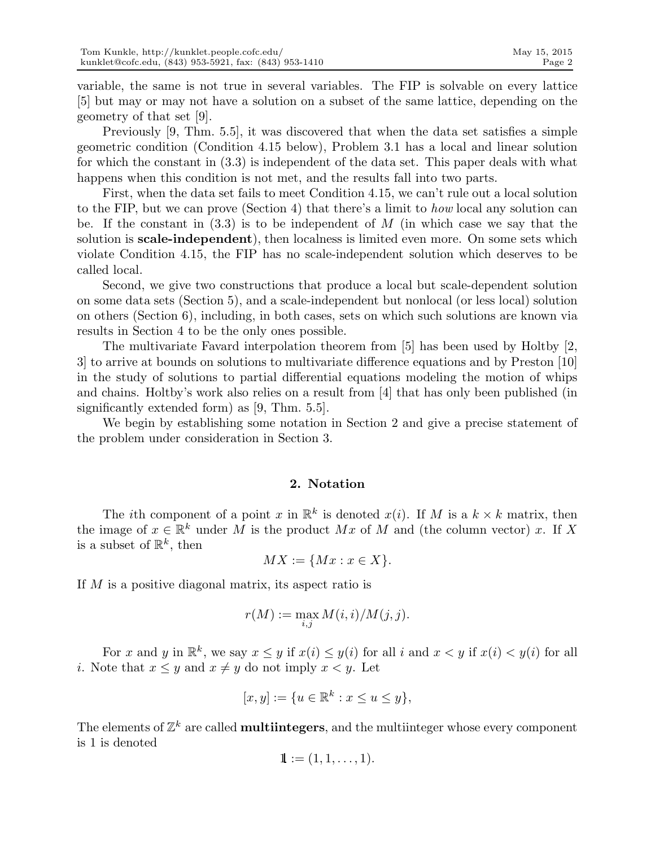variable, the same is not true in several variables. The FIP is solvable on every lattice [5] but may or may not have a solution on a subset of the same lattice, depending on the geometry of that set [9].

Previously [9, Thm. 5.5], it was discovered that when the data set satisfies a simple geometric condition (Condition 4.15 below), Problem 3.1 has a local and linear solution for which the constant in (3.3) is independent of the data set. This paper deals with what happens when this condition is not met, and the results fall into two parts.

First, when the data set fails to meet Condition 4.15, we can't rule out a local solution to the FIP, but we can prove (Section 4) that there's a limit to how local any solution can be. If the constant in  $(3.3)$  is to be independent of M (in which case we say that the solution is **scale-independent**), then localness is limited even more. On some sets which violate Condition 4.15, the FIP has no scale-independent solution which deserves to be called local.

Second, we give two constructions that produce a local but scale-dependent solution on some data sets (Section 5), and a scale-independent but nonlocal (or less local) solution on others (Section 6), including, in both cases, sets on which such solutions are known via results in Section 4 to be the only ones possible.

The multivariate Favard interpolation theorem from [5] has been used by Holtby [2, 3] to arrive at bounds on solutions to multivariate difference equations and by Preston [10] in the study of solutions to partial differential equations modeling the motion of whips and chains. Holtby's work also relies on a result from [4] that has only been published (in significantly extended form) as [9, Thm. 5.5].

We begin by establishing some notation in Section 2 and give a precise statement of the problem under consideration in Section 3.

# 2. Notation

The *i*th component of a point x in  $\mathbb{R}^k$  is denoted  $x(i)$ . If M is a  $k \times k$  matrix, then the image of  $x \in \mathbb{R}^k$  under M is the product Mx of M and (the column vector) x. If X is a subset of  $\mathbb{R}^k$ , then

$$
MX := \{Mx : x \in X\}.
$$

If M is a positive diagonal matrix, its aspect ratio is

$$
r(M) := \max_{i,j} M(i,i)/M(j,j).
$$

For x and y in  $\mathbb{R}^k$ , we say  $x \leq y$  if  $x(i) \leq y(i)$  for all i and  $x < y$  if  $x(i) < y(i)$  for all i. Note that  $x \leq y$  and  $x \neq y$  do not imply  $x < y$ . Let

$$
[x, y] := \{ u \in \mathbb{R}^k : x \le u \le y \},
$$

The elements of  $\mathbb{Z}^k$  are called **multiintegers**, and the multiinteger whose every component is 1 is denoted

$$
\mathbf{1} := (1,1,\ldots,1).
$$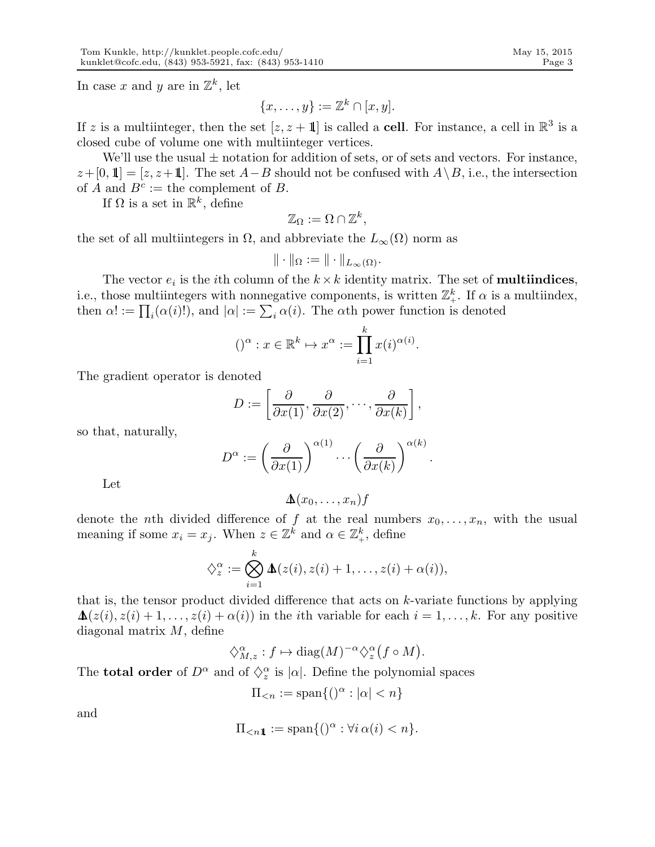In case x and y are in  $\mathbb{Z}^k$ , let

$$
\{x,\ldots,y\}:=\mathbb{Z}^k\cap[x,y].
$$

If z is a multiinteger, then the set  $[z, z + 1]$  is called a **cell**. For instance, a cell in  $\mathbb{R}^3$  is a closed cube of volume one with multiinteger vertices.

We'll use the usual  $\pm$  notation for addition of sets, or of sets and vectors. For instance,  $z+[0,1] = [z, z+1]$ . The set  $A-B$  should not be confused with  $A \setminus B$ , i.e., the intersection of A and  $B^c :=$  the complement of B.

If  $\Omega$  is a set in  $\mathbb{R}^k$ , define

$$
\mathbb{Z}_{\Omega} := \Omega \cap \mathbb{Z}^{k},
$$

the set of all multiintegers in  $\Omega$ , and abbreviate the  $L_{\infty}(\Omega)$  norm as

$$
\|\cdot\|_{\Omega}:=\|\cdot\|_{L_{\infty}(\Omega)}.
$$

The vector  $e_i$  is the *i*<sup>th</sup> column of the  $k \times k$  identity matrix. The set of **multiindices**, i.e., those multiintegers with nonnegative components, is written  $\mathbb{Z}_+^k$ . If  $\alpha$  is a multiindex, then  $\alpha! := \prod_i (\alpha(i)!)$ , and  $|\alpha| := \sum_i \alpha(i)$ . The  $\alpha$ th power function is denoted

$$
()^{\alpha}: x \in \mathbb{R}^{k} \mapsto x^{\alpha} := \prod_{i=1}^{k} x(i)^{\alpha(i)}.
$$

The gradient operator is denoted

$$
D := \left[\frac{\partial}{\partial x(1)}, \frac{\partial}{\partial x(2)}, \cdots, \frac{\partial}{\partial x(k)}\right],
$$

so that, naturally,

$$
D^{\alpha} := \left(\frac{\partial}{\partial x(1)}\right)^{\alpha(1)} \cdots \left(\frac{\partial}{\partial x(k)}\right)^{\alpha(k)}
$$

.

Let

$$
\Delta(x_0,\ldots,x_n)f
$$

denote the nth divided difference of f at the real numbers  $x_0, \ldots, x_n$ , with the usual meaning if some  $x_i = x_j$ . When  $z \in \mathbb{Z}^k$  and  $\alpha \in \mathbb{Z}^k_+$ , define

$$
\diamondsuit_z^{\alpha} := \bigotimes_{i=1}^k \Delta(z(i), z(i) + 1, \ldots, z(i) + \alpha(i)),
$$

that is, the tensor product divided difference that acts on  $k$ -variate functions by applying  $\Delta(z(i), z(i) + 1, \ldots, z(i) + \alpha(i))$  in the *i*th variable for each  $i = 1, \ldots, k$ . For any positive diagonal matrix M, define

$$
\diamondsuit_{M,z}^{\alpha}: f \mapsto \mathrm{diag}(M)^{-\alpha} \diamondsuit_z^{\alpha} (f \circ M).
$$

The **total order** of  $D^{\alpha}$  and of  $\Diamond z^{\alpha}$  is  $|\alpha|$ . Define the polynomial spaces

$$
\Pi_{< n} := \text{span}\{()\alpha : |\alpha| < n\}
$$

and

$$
\Pi_{<} n1 := \operatorname{span}\{()\alpha : \forall i \alpha(i) < n\}.
$$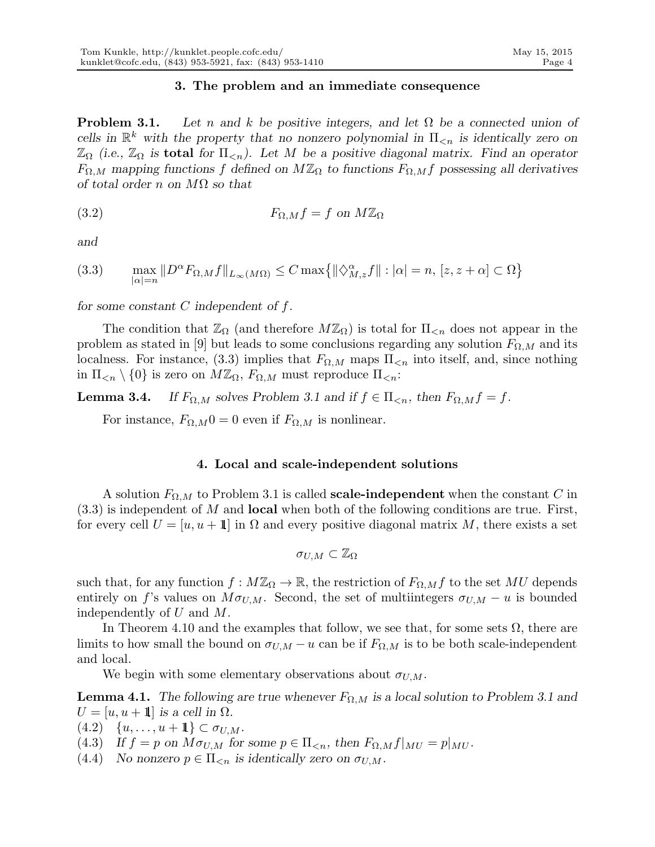# 3. The problem and an immediate consequence

**Problem 3.1.** Let n and k be positive integers, and let  $\Omega$  be a connected union of cells in  $\mathbb{R}^k$  with the property that no nonzero polynomial in  $\Pi_{\leq n}$  is identically zero on  $\mathbb{Z}_{\Omega}$  (i.e.,  $\mathbb{Z}_{\Omega}$  is **total** for  $\Pi_{\leq n}$ ). Let M be a positive diagonal matrix. Find an operator  $F_{\Omega,M}$  mapping functions f defined on  $M\mathbb{Z}_{\Omega}$  to functions  $F_{\Omega,M}$  possessing all derivatives of total order n on  $M\Omega$  so that

(3.2) 
$$
F_{\Omega,M}f = f \text{ on } M\mathbb{Z}_{\Omega}
$$

and

$$
(3.3) \qquad \max_{|\alpha|=n} \|D^{\alpha} F_{\Omega,M} f\|_{L_{\infty}(M\Omega)} \le C \max\{ \|\langle \rangle^{\alpha}_{M,z} f\| : |\alpha|=n, \ [z, z+\alpha] \subset \Omega \}
$$

for some constant  $C$  independent of  $f$ .

The condition that  $\mathbb{Z}_{\Omega}$  (and therefore  $M\mathbb{Z}_{\Omega}$ ) is total for  $\Pi_{\leq n}$  does not appear in the problem as stated in [9] but leads to some conclusions regarding any solution  $F_{\Omega,M}$  and its localness. For instance, (3.3) implies that  $F_{\Omega,M}$  maps  $\Pi_{\leq n}$  into itself, and, since nothing in  $\Pi_{\leq n} \setminus \{0\}$  is zero on  $M\mathbb{Z}_{\Omega}$ ,  $F_{\Omega,M}$  must reproduce  $\Pi_{\leq n}$ :

**Lemma 3.4.** If  $F_{\Omega,M}$  solves Problem 3.1 and if  $f \in \Pi_{\leq n}$ , then  $F_{\Omega,M} f = f$ .

For instance,  $F_{\Omega,M}0=0$  even if  $F_{\Omega,M}$  is nonlinear.

# 4. Local and scale-independent solutions

A solution  $F_{\Omega,M}$  to Problem 3.1 is called **scale-independent** when the constant C in  $(3.3)$  is independent of M and **local** when both of the following conditions are true. First, for every cell  $U = [u, u + 1]$  in  $\Omega$  and every positive diagonal matrix M, there exists a set

$$
\sigma_{U,M}\subset \mathbb{Z}_{\Omega}
$$

such that, for any function  $f : M\mathbb{Z}_{\Omega} \to \mathbb{R}$ , the restriction of  $F_{\Omega,M} f$  to the set MU depends entirely on f's values on  $M\sigma_{U,M}$ . Second, the set of multiintegers  $\sigma_{U,M} - u$  is bounded independently of U and M.

In Theorem 4.10 and the examples that follow, we see that, for some sets  $\Omega$ , there are limits to how small the bound on  $\sigma_{U,M} - u$  can be if  $F_{\Omega,M}$  is to be both scale-independent and local.

We begin with some elementary observations about  $\sigma_{U,M}$ .

**Lemma 4.1.** The following are true whenever  $F_{\Omega,M}$  is a local solution to Problem 3.1 and  $U = [u, u + 1]$  is a cell in  $\Omega$ .

- $(4.2) \quad \{u, \ldots, u+1\} \subset \sigma_{U,M}.$
- (4.3) If  $f = p$  on  $M\sigma_{U,M}$  for some  $p \in \Pi_{\leq n}$ , then  $F_{\Omega,M}f|_{MU} = p|_{MU}$ .
- (4.4) No nonzero  $p \in \Pi_{\leq n}$  is identically zero on  $\sigma_{U,M}$ .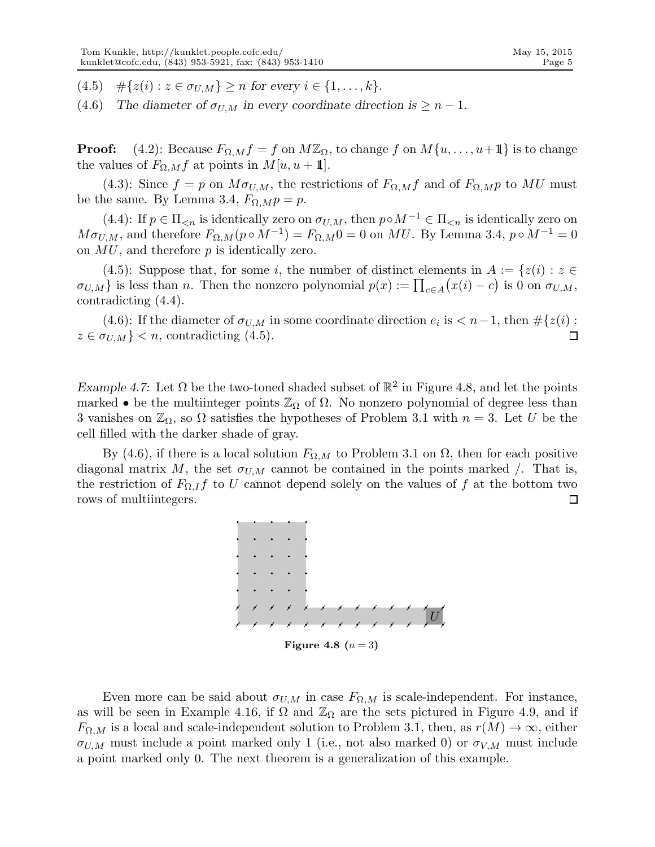(4.5)  $\#\{z(i): z \in \sigma_{U,M}\} \geq n$  for every  $i \in \{1, ..., k\}.$ 

(4.6) The diameter of  $\sigma_{U,M}$  in every coordinate direction is  $\geq n-1$ .

**Proof:** (4.2): Because  $F_{\Omega,M}f = f$  on  $M\mathbb{Z}_{\Omega}$ , to change f on  $M\{u, \ldots, u+1\}$  is to change the values of  $F_{\Omega,M}f$  at points in  $M[u, u + 1]$ .

(4.3): Since  $f = p$  on  $M\sigma_{U,M}$ , the restrictions of  $F_{\Omega,M}f$  and of  $F_{\Omega,M}p$  to MU must be the same. By Lemma 3.4,  $F_{\Omega, M} p = p$ .

(4.4): If  $p \in \Pi_{\leq n}$  is identically zero on  $\sigma_{U,M}$ , then  $p \circ M^{-1} \in \Pi_{\leq n}$  is identically zero on  $M\sigma_{U,M}$ , and therefore  $F_{\Omega,M}(p \circ M^{-1}) = F_{\Omega,M}0 = 0$  on MU. By Lemma 3.4,  $p \circ M^{-1} = 0$ on  $MU$ , and therefore  $p$  is identically zero.

(4.5): Suppose that, for some i, the number of distinct elements in  $A := \{z(i) : z \in$  $\sigma_{U,M}$  is less than *n*. Then the nonzero polynomial  $p(x) := \prod_{c \in A} (x(i) - c)$  is 0 on  $\sigma_{U,M}$ , contradicting (4.4).

(4.6): If the diameter of  $\sigma_{U,M}$  in some coordinate direction  $e_i$  is  $\lt n-1$ , then  $\#\{z(i) :$  $z \in \sigma_{U,M}$  < n, contradicting (4.5).  $\Box$ 

Example 4.7: Let  $\Omega$  be the two-toned shaded subset of  $\mathbb{R}^2$  in Figure 4.8, and let the points marked • be the multiinteger points  $\mathbb{Z}_{\Omega}$  of  $\Omega$ . No nonzero polynomial of degree less than 3 vanishes on  $\mathbb{Z}_{\Omega}$ , so  $\Omega$  satisfies the hypotheses of Problem 3.1 with  $n = 3$ . Let U be the cell filled with the darker shade of gray.

By (4.6), if there is a local solution  $F_{\Omega,M}$  to Problem 3.1 on  $\Omega$ , then for each positive diagonal matrix M, the set  $\sigma_{U,M}$  cannot be contained in the points marked  $\Lambda$ . That is, the restriction of  $F_{\Omega,I}f$  to U cannot depend solely on the values of f at the bottom two rows of multiintegers.  $\Box$ 



Even more can be said about  $\sigma_{U,M}$  in case  $F_{\Omega,M}$  is scale-independent. For instance, as will be seen in Example 4.16, if  $\Omega$  and  $\mathbb{Z}_{\Omega}$  are the sets pictured in Figure 4.9, and if  $F_{\Omega,M}$  is a local and scale-independent solution to Problem 3.1, then, as  $r(M) \to \infty$ , either  $\sigma_{U,M}$  must include a point marked only 1 (i.e., not also marked 0) or  $\sigma_{V,M}$  must include a point marked only 0. The next theorem is a generalization of this example.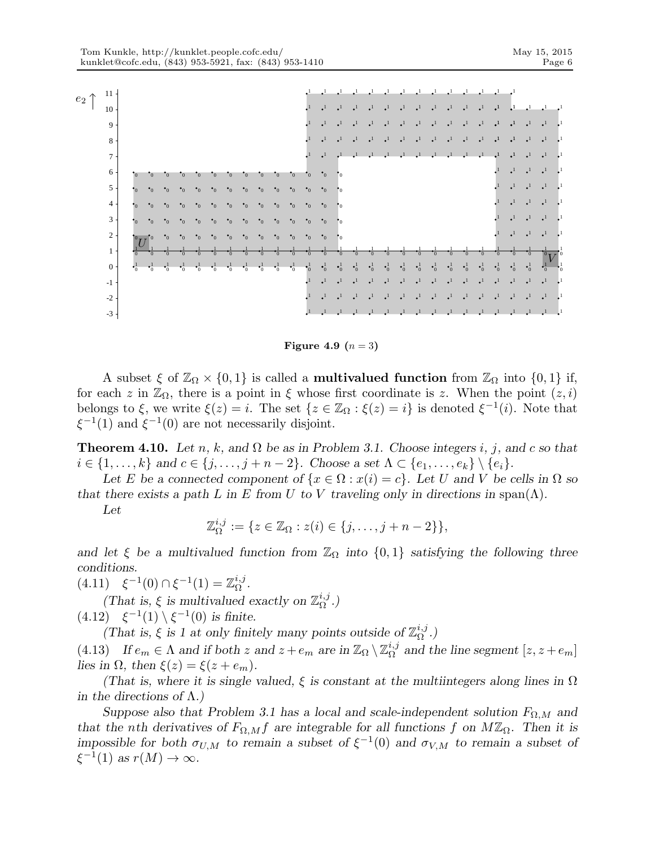

Figure 4.9  $(n=3)$ 

A subset  $\xi$  of  $\mathbb{Z}_\Omega \times \{0,1\}$  is called a **multivalued function** from  $\mathbb{Z}_\Omega$  into  $\{0,1\}$  if, for each z in  $\mathbb{Z}_{\Omega}$ , there is a point in  $\xi$  whose first coordinate is z. When the point  $(z, i)$ belongs to  $\xi$ , we write  $\xi(z) = i$ . The set  $\{z \in \mathbb{Z}_{\Omega} : \xi(z) = i\}$  is denoted  $\xi^{-1}(i)$ . Note that  $\xi^{-1}(1)$  and  $\xi^{-1}(0)$  are not necessarily disjoint.

**Theorem 4.10.** Let n, k, and  $\Omega$  be as in Problem 3.1. Choose integers i, j, and c so that  $i \in \{1, \ldots, k\}$  and  $c \in \{j, \ldots, j + n - 2\}$ . Choose a set  $\Lambda \subset \{e_1, \ldots, e_k\} \setminus \{e_i\}$ .

Let E be a connected component of  $\{x \in \Omega : x(i) = c\}$ . Let U and V be cells in  $\Omega$  so that there exists a path L in E from U to V traveling only in directions in span( $\Lambda$ ).

Let

$$
\mathbb{Z}_{\Omega}^{i,j} := \{ z \in \mathbb{Z}_{\Omega} : z(i) \in \{j,\ldots,j+n-2\} \},\
$$

and let  $\xi$  be a multivalued function from  $\mathbb{Z}_{\Omega}$  into  $\{0,1\}$  satisfying the following three conditions.

 $(4.11) \quad \xi^{-1}(0) \cap \xi^{-1}(1) = \mathbb{Z}_{\Omega}^{i,j}$  $_{\Omega}^{\imath,\jmath}$  .

(That is,  $\xi$  is multivalued exactly on  $\mathbb{Z}_{\Omega}^{i,j}$  $_{\Omega}^{\imath ,\jmath}$ .)

 $(4.12) \quad \xi^{-1}(1) \setminus \xi^{-1}(0)$  is finite.

(That is,  $\xi$  is 1 at only finitely many points outside of  $\mathbb{Z}_{\Omega}^{i,j}$  $_{\Omega}^{\imath ,\jmath}$ .)

(4.13) If  $e_m \in \Lambda$  and if both z and  $z + e_m$  are in  $\mathbb{Z}_{\Omega} \setminus \mathbb{Z}_{\Omega}^{i,j}$  $_{\Omega}^{i,j}$  and the line segment  $[z, z+e_m]$ lies in  $\Omega$ , then  $\xi(z) = \xi(z + e_m)$ .

(That is, where it is single valued,  $\xi$  is constant at the multiintegers along lines in  $\Omega$ in the directions of  $\Lambda$ .)

Suppose also that Problem 3.1 has a local and scale-independent solution  $F_{\Omega,M}$  and that the nth derivatives of  $F_{\Omega,M}f$  are integrable for all functions f on  $M\mathbb{Z}_{\Omega}$ . Then it is impossible for both  $\sigma_{U,M}$  to remain a subset of  $\xi^{-1}(0)$  and  $\sigma_{V,M}$  to remain a subset of  $\xi^{-1}(1)$  as  $r(M) \to \infty$ .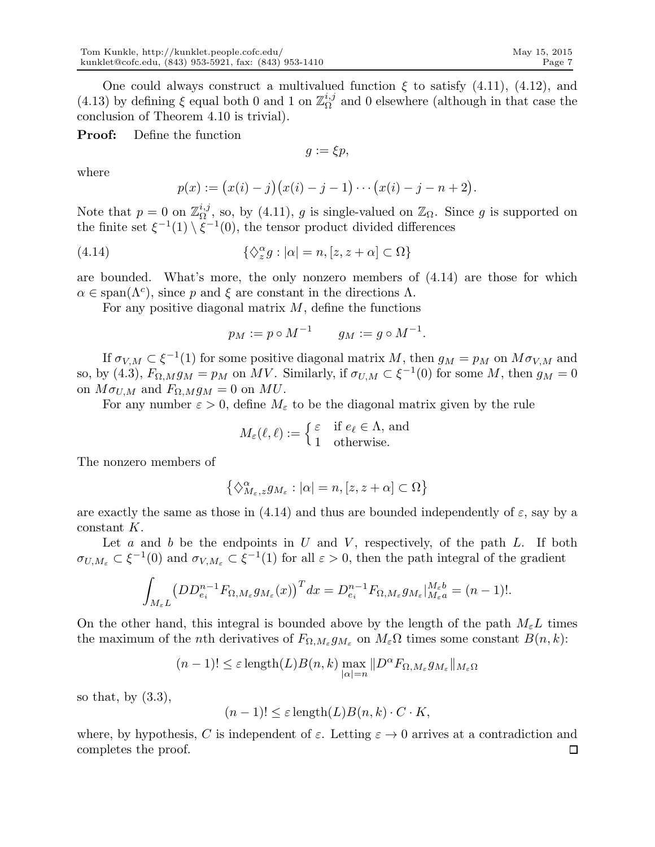One could always construct a multivalued function  $\xi$  to satisfy (4.11), (4.12), and (4.13) by defining  $\xi$  equal both 0 and 1 on  $\mathbb{Z}_{\Omega}^{i,j}$  $\Omega_{\Omega}^{i,j}$  and 0 elsewhere (although in that case the conclusion of Theorem 4.10 is trivial).

Proof: Define the function

$$
g:=\xi p,
$$

where

$$
p(x) := (x(i) - j)(x(i) - j - 1) \cdots (x(i) - j - n + 2).
$$

Note that  $p=0$  on  $\mathbb{Z}_{\Omega}^{i,j}$  $\mathcal{L}_{\Omega}^{i,j}$ , so, by (4.11), g is single-valued on  $\mathbb{Z}_{\Omega}$ . Since g is supported on the finite set  $\xi^{-1}(1) \setminus \xi^{-1}(0)$ , the tensor product divided differences

(4.14) 
$$
\{\Diamond_z^{\alpha} g : |\alpha| = n, [z, z + \alpha] \subset \Omega\}
$$

are bounded. What's more, the only nonzero members of (4.14) are those for which  $\alpha \in \text{span}(\Lambda^c)$ , since p and  $\xi$  are constant in the directions  $\Lambda$ .

For any positive diagonal matrix  $M$ , define the functions

$$
p_M := p \circ M^{-1} \qquad g_M := g \circ M^{-1}.
$$

If  $\sigma_{V,M} \subset \xi^{-1}(1)$  for some positive diagonal matrix M, then  $g_M = p_M$  on  $M \sigma_{V,M}$  and so, by (4.3),  $F_{\Omega,M}g_M = p_M$  on MV. Similarly, if  $\sigma_{U,M} \subset \xi^{-1}(0)$  for some M, then  $g_M = 0$ on  $M\sigma_{U,M}$  and  $F_{\Omega,M}g_M = 0$  on MU.

For any number  $\varepsilon > 0$ , define  $M_{\varepsilon}$  to be the diagonal matrix given by the rule

$$
M_{\varepsilon}(\ell,\ell) := \begin{cases} \varepsilon & \text{if } e_{\ell} \in \Lambda, \text{ and} \\ 1 & \text{otherwise.} \end{cases}
$$

The nonzero members of

$$
\left\{\diamondsuit^\alpha_{M_\varepsilon,z}g_{M_\varepsilon}:|\alpha|=n,[z,z+\alpha]\subset\Omega\right\}
$$

are exactly the same as those in (4.14) and thus are bounded independently of  $\varepsilon$ , say by a constant K.

Let a and b be the endpoints in  $U$  and  $V$ , respectively, of the path  $L$ . If both  $\sigma_{U,M_{\varepsilon}} \subset \xi^{-1}(0)$  and  $\sigma_{V,M_{\varepsilon}} \subset \xi^{-1}(1)$  for all  $\varepsilon > 0$ , then the path integral of the gradient

$$
\int_{M_{\varepsilon}L} \left( DD_{e_i}^{n-1} F_{\Omega, M_{\varepsilon}} g_{M_{\varepsilon}}(x) \right)^T dx = D_{e_i}^{n-1} F_{\Omega, M_{\varepsilon}} g_{M_{\varepsilon}}|_{M_{\varepsilon}a}^{M_{\varepsilon}b} = (n-1)!.
$$

On the other hand, this integral is bounded above by the length of the path  $M_{\epsilon}L$  times the maximum of the *n*th derivatives of  $F_{\Omega, M_{\varepsilon}} g_{M_{\varepsilon}}$  on  $M_{\varepsilon} \Omega$  times some constant  $B(n, k)$ :

$$
(n-1)! \leq \varepsilon \operatorname{length}(L)B(n,k) \max_{|\alpha|=n} \|D^{\alpha} F_{\Omega, M_{\varepsilon}} g_{M_{\varepsilon}}\|_{M_{\varepsilon} \Omega}
$$

so that, by  $(3.3)$ ,

$$
(n-1)! \leq \varepsilon \operatorname{length}(L)B(n,k) \cdot C \cdot K,
$$

where, by hypothesis, C is independent of  $\varepsilon$ . Letting  $\varepsilon \to 0$  arrives at a contradiction and completes the proof. $\Box$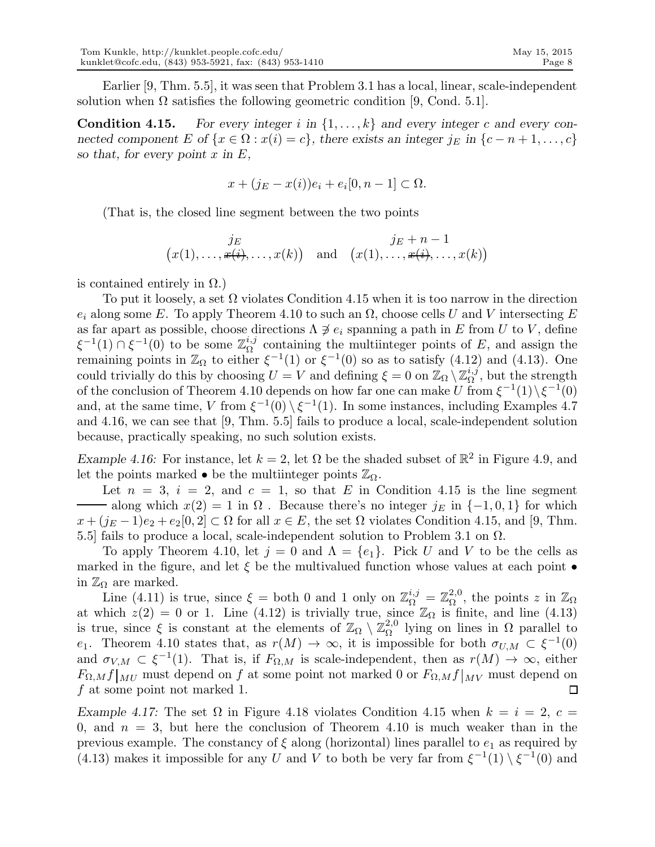Earlier [9, Thm. 5.5], it was seen that Problem 3.1 has a local, linear, scale-independent solution when  $\Omega$  satisfies the following geometric condition [9, Cond. 5.1].

**Condition 4.15.** For every integer i in  $\{1, \ldots, k\}$  and every integer c and every connected component E of  $\{x \in \Omega : x(i) = c\}$ , there exists an integer  $j_E$  in  $\{c - n + 1, \ldots, c\}$ so that, for every point  $x$  in  $E$ ,

$$
x + (j_E - x(i))e_i + e_i[0, n-1] \subset \Omega.
$$

(That is, the closed line segment between the two points

$$
\begin{array}{cc}\nj_E & j_E\\
(x(1),\ldots,\cancel{x(i)},\ldots,x(k)) & \text{and} & (x(1),\ldots,\cancel{x(i)},\ldots,x(k))\n\end{array}
$$

is contained entirely in  $\Omega$ .)

To put it loosely, a set  $\Omega$  violates Condition 4.15 when it is too narrow in the direction  $e_i$  along some E. To apply Theorem 4.10 to such an  $\Omega$ , choose cells U and V intersecting E as far apart as possible, choose directions  $\Lambda \not\supseteq e_i$  spanning a path in E from U to V, define  $\xi^{-1}(1) \cap \xi^{-1}(0)$  to be some  $\mathbb{Z}_{\Omega}^{i,j}$  $\Omega_{\Omega}^{i,j}$  containing the multiinteger points of E, and assign the remaining points in  $\mathbb{Z}_{\Omega}$  to either  $\xi^{-1}(1)$  or  $\xi^{-1}(0)$  so as to satisfy  $(4.12)$  and  $(4.13)$ . One could trivially do this by choosing  $U = V$  and defining  $\xi = 0$  on  $\mathbb{Z}_{\Omega} \setminus \mathbb{Z}_{\Omega}^{i,j}$  $_{\Omega}^{i,j}$ , but the strength of the conclusion of Theorem 4.10 depends on how far one can make U from  $\xi^{-1}(1)\backslash\xi^{-1}(0)$ and, at the same time, V from  $\xi^{-1}(0) \setminus \xi^{-1}(1)$ . In some instances, including Examples 4.7 and 4.16, we can see that [9, Thm. 5.5] fails to produce a local, scale-independent solution because, practically speaking, no such solution exists.

Example 4.16: For instance, let  $k = 2$ , let  $\Omega$  be the shaded subset of  $\mathbb{R}^2$  in Figure 4.9, and let the points marked • be the multiinteger points  $\mathbb{Z}_{\Omega}$ .

Let  $n = 3$ ,  $i = 2$ , and  $c = 1$ , so that E in Condition 4.15 is the line segment along which  $x(2) = 1$  in  $\Omega$ . Because there's no integer j<sub>E</sub> in  $\{-1, 0, 1\}$  for which  $x + (j_E - 1)e_2 + e_2[0, 2] \subset \Omega$  for all  $x \in E$ , the set  $\Omega$  violates Condition 4.15, and [9, Thm. 5.5] fails to produce a local, scale-independent solution to Problem 3.1 on  $\Omega$ .

To apply Theorem 4.10, let  $j = 0$  and  $\Lambda = \{e_1\}$ . Pick U and V to be the cells as marked in the figure, and let  $\xi$  be the multivalued function whose values at each point  $\bullet$ in  $\mathbb{Z}_{\Omega}$  are marked.

Line (4.11) is true, since  $\xi =$  both 0 and 1 only on  $\mathbb{Z}_{\Omega}^{i,j} = \mathbb{Z}_{\Omega}^{2,0}$  $_{\Omega}^{2,0}$ , the points z in  $\mathbb{Z}_{\Omega}$ at which  $z(2) = 0$  or 1. Line (4.12) is trivially true, since  $\mathbb{Z}_{\Omega}$  is finite, and line (4.13) is true, since  $\xi$  is constant at the elements of  $\mathbb{Z}_{\Omega} \setminus \mathbb{Z}_{\Omega}^{2,0}$  $\Omega_{\Omega}^{2,0}$  lying on lines in Ω parallel to e<sub>1</sub>. Theorem 4.10 states that, as  $r(M) \to \infty$ , it is impossible for both  $\sigma_{U,M} \subset \xi^{-1}(0)$ and  $\sigma_{V,M} \subset \xi^{-1}(1)$ . That is, if  $F_{\Omega,M}$  is scale-independent, then as  $r(M) \to \infty$ , either  $F_{\Omega,M}f|_{MU}$  must depend on f at some point not marked 0 or  $F_{\Omega,M}f|_{MV}$  must depend on f at some point not marked 1.  $\Box$ 

Example 4.17: The set  $\Omega$  in Figure 4.18 violates Condition 4.15 when  $k = i = 2, c =$ 0, and  $n = 3$ , but here the conclusion of Theorem 4.10 is much weaker than in the previous example. The constancy of  $\xi$  along (horizontal) lines parallel to  $e_1$  as required by (4.13) makes it impossible for any U and V to both be very far from  $\xi^{-1}(1) \setminus \xi^{-1}(0)$  and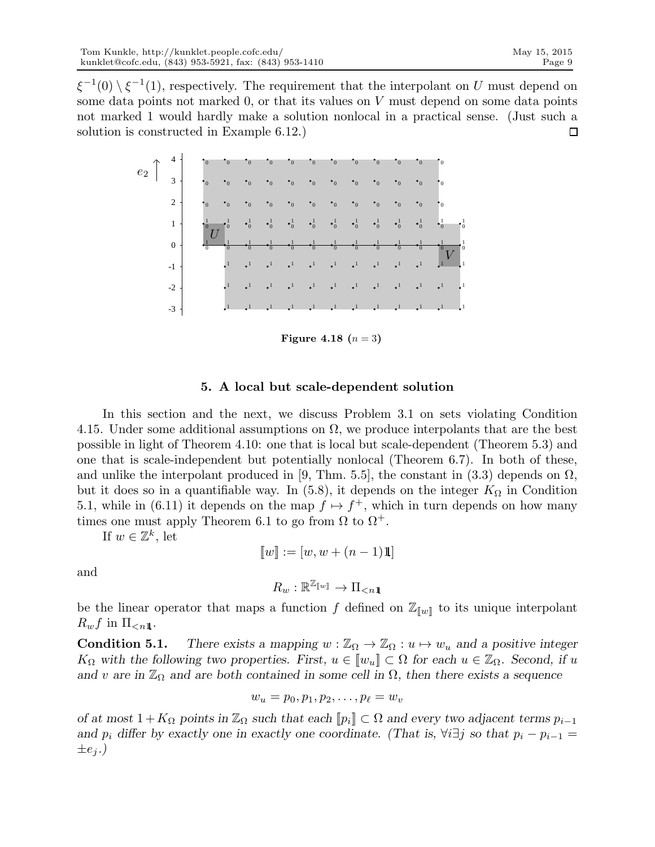$\xi^{-1}(0) \setminus \xi^{-1}(1)$ , respectively. The requirement that the interpolant on U must depend on some data points not marked , or that its values on  $V$  must depend on some data points not marked 1 would hardly make a solution nonlocal in a practical sense. (Just such a solution is constructed in Example 6.12.)  $\Box$ 



**Figure 4.18**  $(n = 3)$ 

### 5. A local but scale-dependent solution

In this section and the next, we discuss Problem 3.1 on sets violating Condition 4.15. Under some additional assumptions on  $\Omega$ , we produce interpolants that are the best possible in light of Theorem 4.10: one that is local but scale-dependent (Theorem 5.3) and one that is scale-independent but potentially nonlocal (Theorem 6.7). In both of these, and unlike the interpolant produced in [9, Thm. 5.5], the constant in  $(3.3)$  depends on  $\Omega$ . but it does so in a quantifiable way. In (5.8), it depends on the integer  $K_{\Omega}$  in Condition 5.1, while in (6.11) it depends on the map  $f \mapsto f^+$ , which in turn depends on how many times one must apply Theorem 6.1 to go from  $\Omega$  to  $\Omega^+$ .

If  $w \in \mathbb{Z}^k$ , let

$$
[[w] := [w, w + (n-1)1]]
$$

and

$$
R_w:\mathbb{R}^{\mathbb{Z}_{[\![w]\!]}}\to \Pi_{
$$

be the linear operator that maps a function f defined on  $\mathbb{Z}_{\llbracket w \rrbracket}$  to its unique interpolant  $R_w f$  in  $\Pi_{\leq n1}$ .

**Condition 5.1.** There exists a mapping  $w : \mathbb{Z}_{\Omega} \to \mathbb{Z}_{\Omega} : u \mapsto w_u$  and a positive integer  $K_{\Omega}$  with the following two properties. First,  $u \in [w_u] \subset \Omega$  for each  $u \in \mathbb{Z}_{\Omega}$ . Second, if u and v are in  $\mathbb{Z}_{\Omega}$  and are both contained in some cell in  $\Omega$ , then there exists a sequence

$$
w_u=p_0,p_1,p_2,\ldots,p_\ell=w_v
$$

of at most  $1 + K_{\Omega}$  points in  $\mathbb{Z}_{\Omega}$  such that each  $[\![p_i]\!] \subset \Omega$  and every two adjacent terms  $p_{i-1}$ and  $p_i$  differ by exactly one in exactly one coordinate. (That is,  $\forall i \exists j$  so that  $p_i - p_{i-1} =$  $\pm e_i$ .)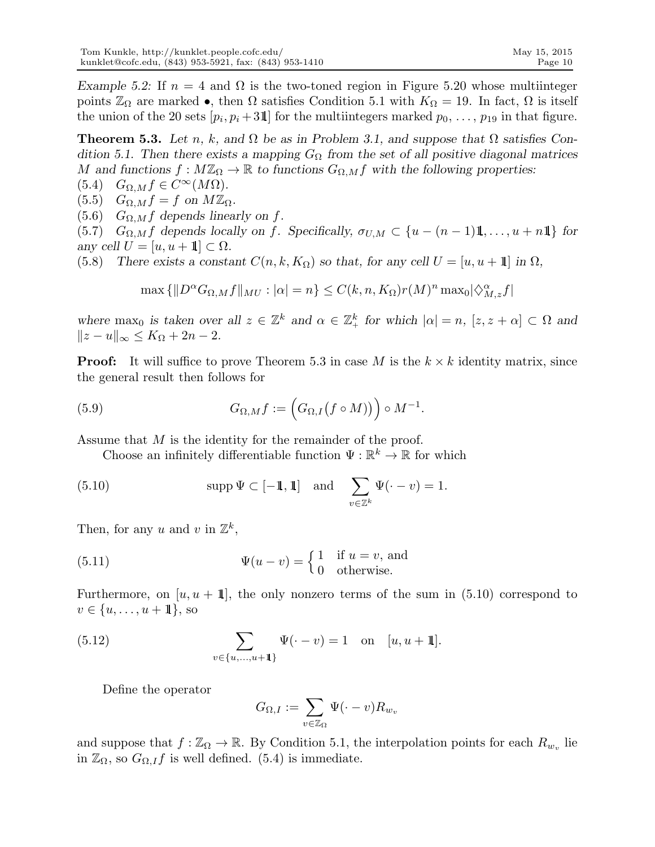Example 5.2: If  $n = 4$  and  $\Omega$  is the two-toned region in Figure 5.20 whose multiinteger points  $\mathbb{Z}_{\Omega}$  are marked •, then  $\Omega$  satisfies Condition 5.1 with  $K_{\Omega} = 19$ . In fact,  $\Omega$  is itself the union of the 20 sets  $[p_i, p_i + 3\mathbb{1}]$  for the multiintegers marked  $p_0, \ldots, p_{19}$  in that figure.

**Theorem 5.3.** Let n, k, and  $\Omega$  be as in Problem 3.1, and suppose that  $\Omega$  satisfies Condition 5.1. Then there exists a mapping  $G_{\Omega}$  from the set of all positive diagonal matrices M and functions  $f : M\mathbb{Z}_{\Omega} \to \mathbb{R}$  to functions  $G_{\Omega,M} f$  with the following properties:

(5.4)  $G_{\Omega,M} f \in C^{\infty}(M\Omega)$ .

 $(5.5)$   $G_{\Omega,M} f = f$  on  $M\mathbb{Z}_{\Omega}$ .

(5.6)  $G_{\Omega,M}f$  depends linearly on f.

(5.7)  $G_{\Omega,M}f$  depends locally on f. Specifically,  $\sigma_{U,M} \subset \{u - (n-1)1, \ldots, u + n1\}$  for any cell  $U = [u, u + 1] \subset \Omega$ .

(5.8) There exists a constant  $C(n, k, K_{\Omega})$  so that, for any cell  $U = [u, u + 1]$  in  $\Omega$ ,

$$
\max\left\{\|D^{\alpha}G_{\Omega,M}f\|_{MU}:|\alpha|=n\right\}\leq C(k,n,K_{\Omega})r(M)^{n}\max_{0}|\langle \hat{X}_{M,z}^{ \alpha}f|
$$

where max<sub>0</sub> is taken over all  $z \in \mathbb{Z}^k$  and  $\alpha \in \mathbb{Z}_+^k$  for which  $|\alpha| = n$ ,  $[z, z + \alpha] \subset \Omega$  and  $||z - u||_{\infty} \leq K_{\Omega} + 2n - 2.$ 

**Proof:** It will suffice to prove Theorem 5.3 in case M is the  $k \times k$  identity matrix, since the general result then follows for

(5.9) 
$$
G_{\Omega,M}f:=\Big(G_{\Omega,I}(f\circ M)\Big)\Big)\circ M^{-1}.
$$

Assume that M is the identity for the remainder of the proof.

Choose an infinitely differentiable function  $\Psi : \mathbb{R}^k \to \mathbb{R}$  for which

(5.10) supp 
$$
\Psi \subset [-1, 1]
$$
 and  $\sum_{v \in \mathbb{Z}^k} \Psi(\cdot - v) = 1$ .

Then, for any u and v in  $\mathbb{Z}^k$ ,

(5.11) 
$$
\Psi(u - v) = \begin{cases} 1 & \text{if } u = v, \text{ and} \\ 0 & \text{otherwise.} \end{cases}
$$

Furthermore, on  $[u, u + 1]$ , the only nonzero terms of the sum in (5.10) correspond to  $v \in \{u, \ldots, u + 1\},\,$ so

(5.12) 
$$
\sum_{v \in \{u, ..., u+1\}} \Psi(\cdot - v) = 1 \text{ on } [u, u+1].
$$

Define the operator

$$
G_{\Omega,I} := \sum_{v \in \mathbb{Z}_{\Omega}} \Psi(\cdot - v) R_{w_v}
$$

and suppose that  $f : \mathbb{Z}_{\Omega} \to \mathbb{R}$ . By Condition 5.1, the interpolation points for each  $R_{w_v}$  lie in  $\mathbb{Z}_{\Omega}$ , so  $G_{\Omega,I}f$  is well defined. (5.4) is immediate.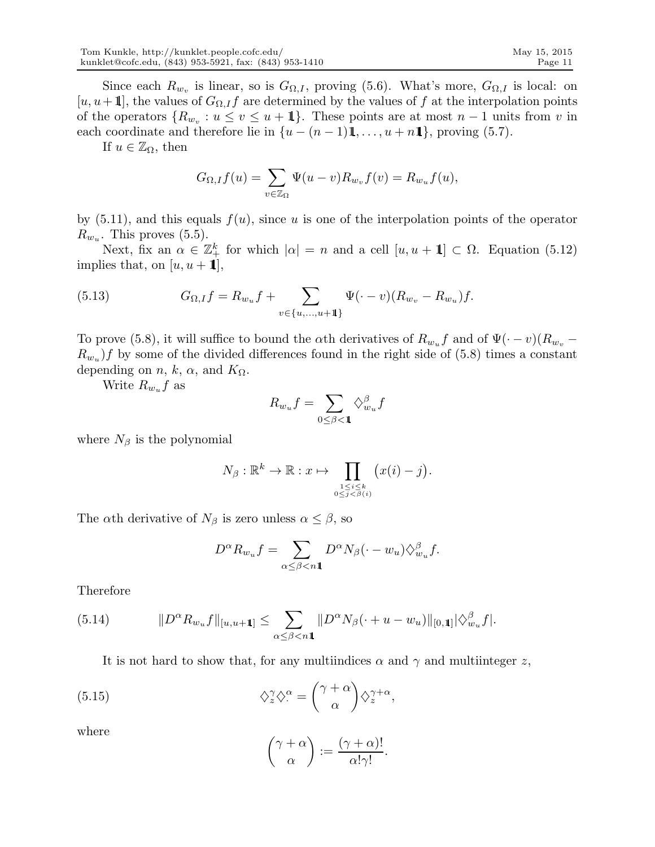Since each  $R_{w_v}$  is linear, so is  $G_{\Omega,I}$ , proving (5.6). What's more,  $G_{\Omega,I}$  is local: on [u, u+ 1], the values of  $G_{\Omega,I}f$  are determined by the values of f at the interpolation points of the operators  $\{R_{w_v} : u \le v \le u + 1\}$ . These points are at most  $n-1$  units from v in each coordinate and therefore lie in  $\{u - (n-1)1, \ldots, u + n1\}$ , proving (5.7).

If  $u \in \mathbb{Z}_{\Omega}$ , then

$$
G_{\Omega,I}f(u) = \sum_{v \in \mathbb{Z}_{\Omega}} \Psi(u-v)R_{w_v}f(v) = R_{w_u}f(u),
$$

by  $(5.11)$ , and this equals  $f(u)$ , since u is one of the interpolation points of the operator  $R_{w_u}$ . This proves (5.5).

Next, fix an  $\alpha \in \mathbb{Z}_+^k$  for which  $|\alpha| = n$  and a cell  $[u, u + 1] \subset \Omega$ . Equation (5.12) implies that, on  $[u, u + 1]$ ,

(5.13) 
$$
G_{\Omega,I}f = R_{w_u}f + \sum_{v \in \{u, ..., u+1\}} \Psi(\cdot - v)(R_{w_v} - R_{w_u})f.
$$

To prove (5.8), it will suffice to bound the  $\alpha$ th derivatives of  $R_{w_y} f$  and of  $\Psi(\cdot - v)(R_{w_y} - \tau)$  $R_{w_u}$  f by some of the divided differences found in the right side of (5.8) times a constant depending on *n*, *k*,  $\alpha$ , and  $K_{\Omega}$ .

Write  $R_{w_u}f$  as

$$
R_{w_u}f = \sum_{0 \le \beta < \mathbf{1}} \diamondsuit_{w_u}^\beta f
$$

where  $N_\beta$  is the polynomial

$$
N_{\beta}: \mathbb{R}^{k} \to \mathbb{R}: x \mapsto \prod_{\substack{1 \leq i \leq k \\ 0 \leq j < \beta(i)}} (x(i) - j).
$$

The  $\alpha$ th derivative of  $N_\beta$  is zero unless  $\alpha \leq \beta$ , so

$$
D^{\alpha}R_{w_u}f = \sum_{\alpha \leq \beta < n\mathbb{1}} D^{\alpha}N_{\beta}(\cdot - w_u)\diamondsuit_{w_u}^{\beta}f.
$$

Therefore

(5.14) 
$$
||D^{\alpha}R_{w_u}f||_{[u,u+1]} \leq \sum_{\alpha \leq \beta < n} ||D^{\alpha}N_{\beta}(\cdot + u - w_u)||_{[0,1]} |\langle \hat{v}_{w_u}^{\beta}f|.
$$

It is not hard to show that, for any multiindices  $\alpha$  and  $\gamma$  and multiinteger z,

(5.15) 
$$
\diamondsuit_z^{\gamma} \diamondsuit_z^{\alpha} = \binom{\gamma + \alpha}{\alpha} \diamondsuit_z^{\gamma + \alpha},
$$

where

$$
\binom{\gamma+\alpha}{\alpha} := \frac{(\gamma+\alpha)!}{\alpha!\gamma!}.
$$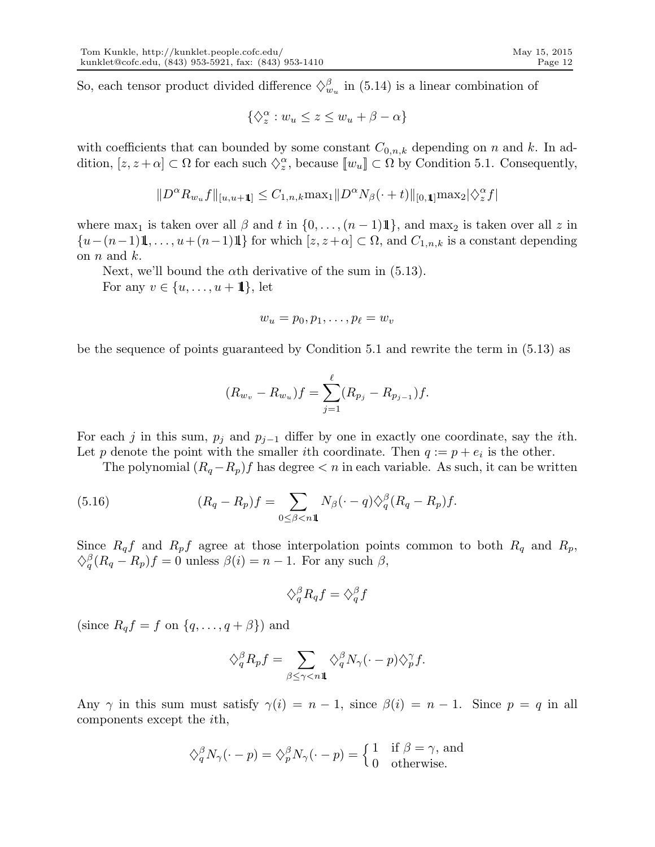So, each tensor product divided difference  $\Diamond_{w_u}^{\beta}$  in (5.14) is a linear combination of

$$
\{\diamondsuit_z^\alpha: w_u\leq z\leq w_u+\beta-\alpha\}
$$

with coefficients that can bounded by some constant  $C_{0,n,k}$  depending on n and k. In addition,  $[z, z + \alpha] \subset \Omega$  for each such  $\Diamond_z^{\alpha}$ , because  $[[w_u]] \subset \Omega$  by Condition 5.1. Consequently,

$$
||D^{\alpha}R_{w_u}f||_{[u,u+1]} \leq C_{1,n,k} \max_{1} ||D^{\alpha}N_{\beta}(\cdot + t)||_{[0,1]} \max_{2} |\langle \hat{\chi}_{z}^{\alpha}f|
$$

where max<sub>1</sub> is taken over all  $\beta$  and t in  $\{0, \ldots, (n-1)1\}$ , and max<sub>2</sub> is taken over all z in  $\{u-(n-1)1,\ldots,u+(n-1)1\}$  for which  $[z, z+\alpha] \subset \Omega$ , and  $C_{1,n,k}$  is a constant depending on  $n$  and  $k$ .

Next, we'll bound the  $\alpha$ th derivative of the sum in (5.13).

For any  $v \in \{u, \ldots, u + 1\}$ , let

$$
w_u=p_0,p_1,\ldots,p_\ell=w_v
$$

be the sequence of points guaranteed by Condition 5.1 and rewrite the term in (5.13) as

$$
(R_{w_v} - R_{w_u})f = \sum_{j=1}^{\ell} (R_{p_j} - R_{p_{j-1}})f.
$$

For each j in this sum,  $p_j$  and  $p_{j-1}$  differ by one in exactly one coordinate, say the *i*th. Let p denote the point with the smaller *i*th coordinate. Then  $q := p + e_i$  is the other.

The polynomial  $(R_q-R_p)f$  has degree  $\lt n$  in each variable. As such, it can be written

(5.16) 
$$
(R_q - R_p)f = \sum_{0 \le \beta < n1} N_\beta(\cdot - q) \langle \xi_q^{\beta} (R_q - R_p)f.
$$

Since  $R_q f$  and  $R_p f$  agree at those interpolation points common to both  $R_q$  and  $R_p$ ,  $\Diamond_q^{\beta}(R_q - R_p)f = 0$  unless  $\beta(i) = n - 1$ . For any such  $\beta$ ,

$$
\diamondsuit^{\beta}_q R_q f = \diamondsuit^{\beta}_q f
$$

(since  $R_q f = f$  on  $\{q, \ldots, q + \beta\}$ ) and

$$
\diamondsuit_q^\beta R_p f = \sum_{\beta \le \gamma < n1} \diamondsuit_q^\beta N_\gamma (\cdot - p) \diamondsuit_p^\gamma f.
$$

Any  $\gamma$  in this sum must satisfy  $\gamma(i) = n - 1$ , since  $\beta(i) = n - 1$ . Since  $p = q$  in all components except the ith,

$$
\diamondsuit_q^{\beta} N_{\gamma}(\cdot - p) = \diamondsuit_p^{\beta} N_{\gamma}(\cdot - p) = \begin{cases} 1 & \text{if } \beta = \gamma \text{, and} \\ 0 & \text{otherwise.} \end{cases}
$$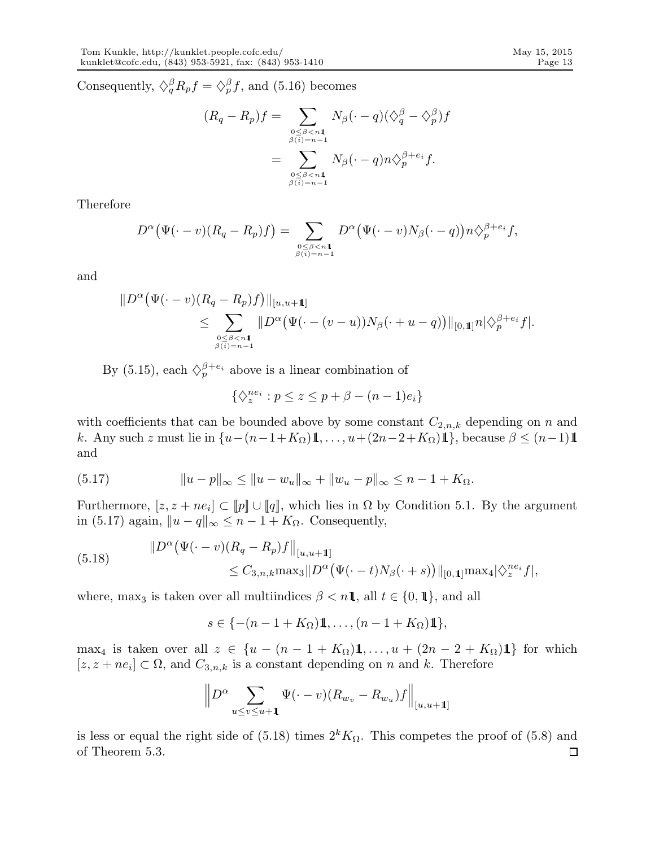Consequently,  $\Diamond_q^{\beta} R_p f = \Diamond_p^{\beta} f$ , and (5.16) becomes

$$
(R_q - R_p)f = \sum_{\substack{0 \le \beta < n\mathbf{1} \\ \beta(i) = n-1}} N_\beta(\cdot - q)(\langle \xi_q^\beta - \xi_p^\beta \rangle f)
$$

$$
= \sum_{\substack{0 \le \beta < n\mathbf{1} \\ \beta(i) = n-1}} N_\beta(\cdot - q)n\langle \xi_p^{\beta + e_i} f.
$$

Therefore

$$
D^{\alpha}(\Psi(\cdot-v)(R_q-R_p)f)=\sum_{\substack{0\leq\beta\leq n\mathbf{1}\\ \beta(i)=n-1}}D^{\alpha}(\Psi(\cdot-v)N_{\beta}(\cdot-q))n\diamondsuit_p^{\beta+e_i}f,
$$

and

$$
||D^{\alpha} (\Psi(\cdot - v)(R_q - R_p)f)||_{[u,u+1]} \leq \sum_{\substack{0 \leq \beta < n_1 \\ \beta(i) = n-1}} ||D^{\alpha} (\Psi(\cdot - (v-u))N_{\beta}(\cdot + u - q))||_{[0,1]}n|\hat{\gamma}_p^{\beta + e_i}f|.
$$

By (5.15), each  $\Diamond_p^{\beta+e_i}$  above is a linear combination of

$$
\{\diamondsuit_z^{ne_i}: p \le z \le p + \beta - (n-1)e_i\}
$$

with coefficients that can be bounded above by some constant  $C_{2,n,k}$  depending on n and k. Any such z must lie in  $\{u-(n-1+K_{\Omega})\mathbb{1}, \ldots, u+(2n-2+K_{\Omega})\mathbb{1}\}\)$ , because  $\beta \leq (n-1)\mathbb{1}$ and

(5.17) 
$$
||u-p||_{\infty} \le ||u-w_u||_{\infty} + ||w_u-p||_{\infty} \le n-1+K_{\Omega}.
$$

Furthermore,  $[z, z + ne_i] \subset [p] \cup [q]$ , which lies in  $\Omega$  by Condition 5.1. By the argument in (5.17) again,  $||u - q||_{\infty} \le n - 1 + K_{\Omega}$ . Consequently,

(5.18) 
$$
\|D^{\alpha}(\Psi(\cdot - v)(R_q - R_p)f\|_{[u,u+1]}\n\leq C_{3,n,k} \max_{3} \|D^{\alpha}(\Psi(\cdot - t)N_{\beta}(\cdot + s))\|_{[0,1]} \max_{4} |\hat{\gamma}_z^{ne_i}f|,
$$

where, max<sub>3</sub> is taken over all multiindices  $\beta < n\mathbb{1}$ , all  $t \in \{0, 1\}$ , and all

 $s \in \{-(n-1+K_{\Omega})\mathbb{1}, \ldots, (n-1+K_{\Omega})\mathbb{1}\},\$ 

max<sub>4</sub> is taken over all  $z \in \{u - (n-1 + K_{\Omega})\mathbb{1}, \ldots, u + (2n-2+K_{\Omega})\mathbb{1}\}\)$  for which  $[z, z + ne_i] \subset \Omega$ , and  $C_{3,n,k}$  is a constant depending on n and k. Therefore

$$
\left\|D^{\alpha}\sum_{u\leq v\leq u+1}\Psi(\cdot-v)(R_{w_v}-R_{w_u})f\right\|_{[u,u+1]}
$$

is less or equal the right side of (5.18) times  $2^k K_{\Omega}$ . This competes the proof of (5.8) and of Theorem 5.3. $\Box$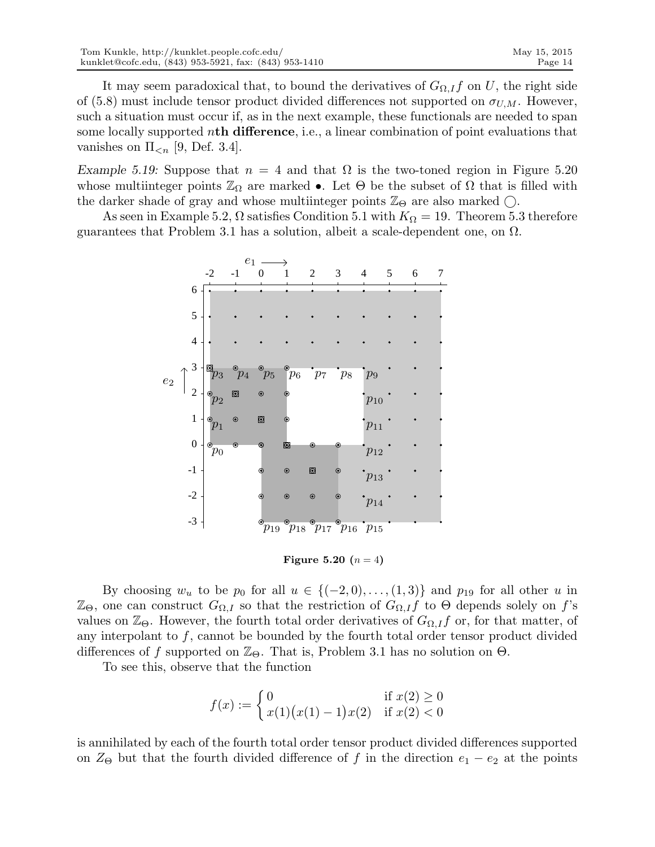It may seem paradoxical that, to bound the derivatives of  $G_{\Omega,I}f$  on U, the right side of (5.8) must include tensor product divided differences not supported on  $\sigma_{U,M}$ . However, such a situation must occur if, as in the next example, these functionals are needed to span some locally supported nth difference, i.e., a linear combination of point evaluations that vanishes on  $\Pi_{\leq n}$  [9, Def. 3.4].

Example 5.19: Suppose that  $n = 4$  and that  $\Omega$  is the two-toned region in Figure 5.20 whose multiinteger points  $\mathbb{Z}_{\Omega}$  are marked •. Let  $\Theta$  be the subset of  $\Omega$  that is filled with the darker shade of gray and whose multiinteger points  $\mathbb{Z}_{\Theta}$  are also marked  $\bigcirc$ .

As seen in Example 5.2,  $\Omega$  satisfies Condition 5.1 with  $K_{\Omega} = 19$ . Theorem 5.3 therefore guarantees that Problem 3.1 has a solution, albeit a scale-dependent one, on  $\Omega$ .



**Figure 5.20**  $(n = 4)$ 

By choosing  $w_u$  to be  $p_0$  for all  $u \in \{(-2,0), \ldots, (1,3)\}\$  and  $p_{19}$  for all other u in  $\mathbb{Z}_{\Theta}$ , one can construct  $G_{\Omega,I}$  so that the restriction of  $G_{\Omega,I}f$  to  $\Theta$  depends solely on f's values on  $\mathbb{Z}_{\Theta}$ . However, the fourth total order derivatives of  $G_{\Omega,I}f$  or, for that matter, of any interpolant to  $f$ , cannot be bounded by the fourth total order tensor product divided differences of f supported on  $\mathbb{Z}_{\Theta}$ . That is, Problem 3.1 has no solution on  $\Theta$ .

To see this, observe that the function

$$
f(x) := \begin{cases} 0 & \text{if } x(2) \ge 0\\ x(1)(x(1) - 1)x(2) & \text{if } x(2) < 0 \end{cases}
$$

is annihilated by each of the fourth total order tensor product divided differences supported on  $Z_{\Theta}$  but that the fourth divided difference of f in the direction  $e_1 - e_2$  at the points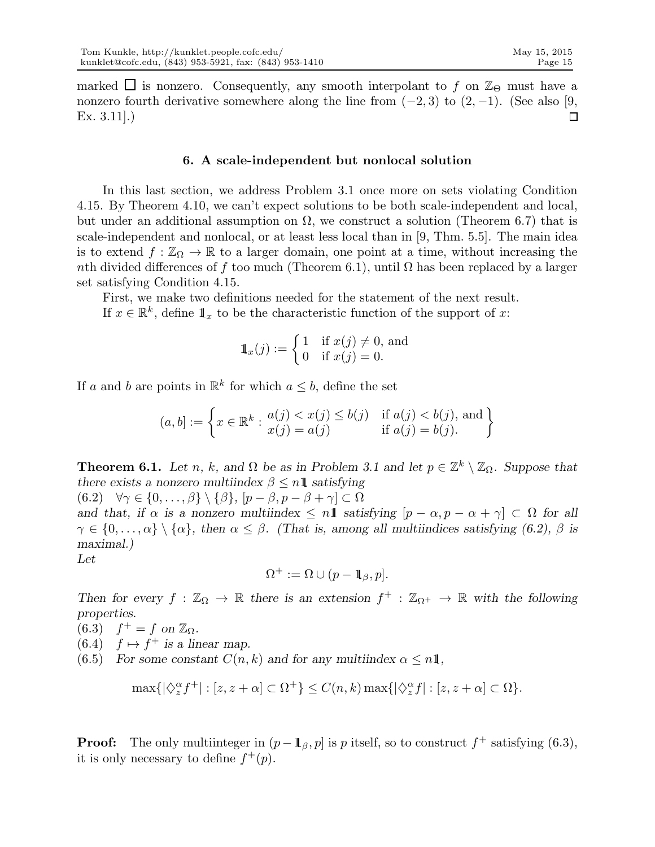marked  $\Box$  is nonzero. Consequently, any smooth interpolant to f on  $\mathbb{Z}_{\Theta}$  must have a nonzero fourth derivative somewhere along the line from  $(-2, 3)$  to  $(2, -1)$ . (See also [9, Ex. 3.11].)  $\Box$ 

### 6. A scale-independent but nonlocal solution

In this last section, we address Problem 3.1 once more on sets violating Condition 4.15. By Theorem 4.10, we can't expect solutions to be both scale-independent and local, but under an additional assumption on  $\Omega$ , we construct a solution (Theorem 6.7) that is scale-independent and nonlocal, or at least less local than in [9, Thm. 5.5]. The main idea is to extend  $f : \mathbb{Z}_{\Omega} \to \mathbb{R}$  to a larger domain, one point at a time, without increasing the nth divided differences of f too much (Theorem 6.1), until  $\Omega$  has been replaced by a larger set satisfying Condition 4.15.

First, we make two definitions needed for the statement of the next result.

If  $x \in \mathbb{R}^k$ , define  $\mathbb{1}_x$  to be the characteristic function of the support of x:

$$
1\hskip-3.5pt1_x(j) := \begin{cases} 1 & \text{if } x(j) \neq 0, \text{ and} \\ 0 & \text{if } x(j) = 0. \end{cases}
$$

If a and b are points in  $\mathbb{R}^k$  for which  $a \leq b$ , define the set

$$
(a, b] := \left\{ x \in \mathbb{R}^k : \begin{matrix} a(j) < x(j) \le b(j) & \text{if } a(j) < b(j), \text{ and} \\ x(j) = a(j) & \text{if } a(j) = b(j). \end{matrix} \right\}
$$

**Theorem 6.1.** Let n, k, and  $\Omega$  be as in Problem 3.1 and let  $p \in \mathbb{Z}^k \setminus \mathbb{Z}_{\Omega}$ . Suppose that there exists a nonzero multiindex  $\beta \leq n\mathbb{1}$  satisfying (6.2)  $\forall \gamma \in \{0, \ldots, \beta\} \setminus \{\beta\}, [p - \beta, p - \beta + \gamma] \subset \Omega$ 

and that, if  $\alpha$  is a nonzero multiindex  $\leq n\mathbf{1}$  satisfying  $[p - \alpha, p - \alpha + \gamma] \subset \Omega$  for all  $\gamma \in \{0,\ldots,\alpha\} \setminus \{\alpha\},\$  then  $\alpha \leq \beta$ . (That is, among all multiindices satisfying (6.2),  $\beta$  is maximal.) Let

$$
\Omega^+ := \Omega \cup (p - \mathbf{1}_{\beta}, p].
$$

Then for every  $f : \mathbb{Z}_{\Omega} \to \mathbb{R}$  there is an extension  $f^+ : \mathbb{Z}_{\Omega^+} \to \mathbb{R}$  with the following properties.

(6.3)  $f^+ = f$  on  $\mathbb{Z}_{\Omega}$ .

(6.4)  $f \mapsto f^+$  is a linear map.

(6.5) For some constant  $C(n, k)$  and for any multiindex  $\alpha \leq n1$ ,

$$
\max\{|\diamondsuit_z^{\alpha}f^+| : [z, z + \alpha] \subset \Omega^+\} \le C(n, k) \max\{|\diamondsuit_z^{\alpha}f| : [z, z + \alpha] \subset \Omega\}.
$$

**Proof:** The only multiinteger in  $(p - \mathbb{1}_{\beta}, p]$  is p itself, so to construct  $f^+$  satisfying (6.3), it is only necessary to define  $f^+(p)$ .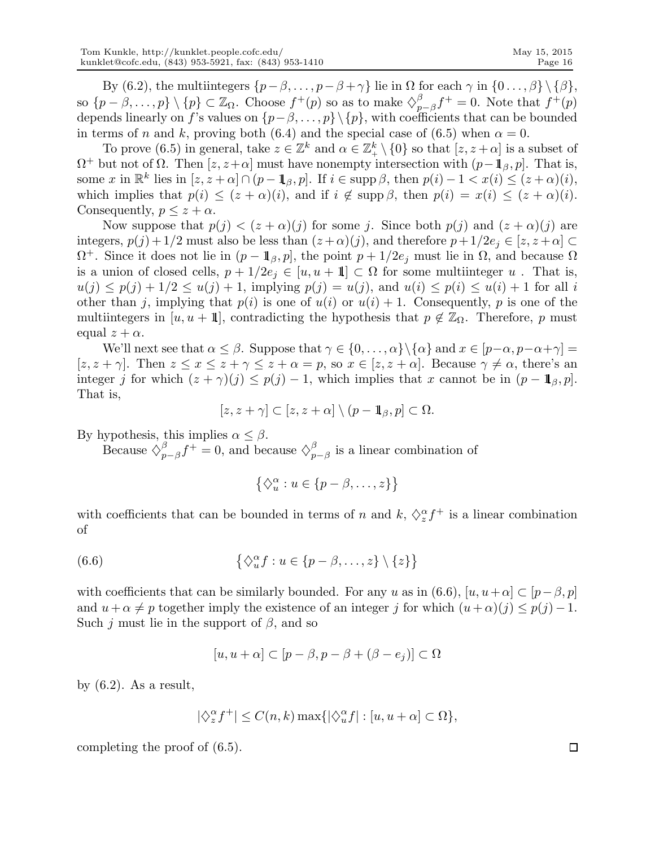By (6.2), the multiintegers  $\{p-\beta,\ldots,p-\beta+\gamma\}$  lie in  $\Omega$  for each  $\gamma$  in  $\{0\ldots,\beta\}\setminus\{\beta\}$ , so  $\{p-\beta,\ldots,p\}\setminus\{p\}\subset\mathbb{Z}_{\Omega}$ . Choose  $f^+(p)$  so as to make  $\diamondsuit_p^{\beta}$  $p^{\beta}_{p-\beta}f^+ = 0.$  Note that  $f^+(p)$ depends linearly on f's values on  $\{p-\beta,\ldots,p\}\setminus\{p\}$ , with coefficients that can be bounded in terms of n and k, proving both (6.4) and the special case of (6.5) when  $\alpha = 0$ .

To prove (6.5) in general, take  $z \in \mathbb{Z}^k$  and  $\alpha \in \mathbb{Z}_+^k \setminus \{0\}$  so that  $[z, z + \alpha]$  is a subset of  $\Omega^+$  but not of  $\Omega$ . Then  $[z, z+\alpha]$  must have nonempty intersection with  $(p-\mathbf{1}_{\beta}, p]$ . That is, some x in  $\mathbb{R}^k$  lies in  $[z, z + \alpha] \cap (p - \mathbb{1}_{\beta}, p]$ . If  $i \in \text{supp }\beta$ , then  $p(i) - 1 < x(i) \leq (z + \alpha)(i)$ , which implies that  $p(i) \leq (z + \alpha)(i)$ , and if  $i \notin \text{supp }\beta$ , then  $p(i) = x(i) \leq (z + \alpha)(i)$ . Consequently,  $p \leq z + \alpha$ .

Now suppose that  $p(j) < (z + \alpha)(j)$  for some j. Since both  $p(j)$  and  $(z + \alpha)(j)$  are integers,  $p(j) + 1/2$  must also be less than  $(z + \alpha)(j)$ , and therefore  $p + 1/2e_j \in [z, z + \alpha]$  $\Omega^+$ . Since it does not lie in  $(p - \mathbb{1}_{\beta}, p]$ , the point  $p + 1/2e_j$  must lie in  $\Omega$ , and because  $\Omega$ is a union of closed cells,  $p + 1/2e_j \in [u, u + 1] \subset \Omega$  for some multiinteger u. That is,  $u(j) \leq p(j) + 1/2 \leq u(j) + 1$ , implying  $p(j) = u(j)$ , and  $u(i) \leq p(i) \leq u(i) + 1$  for all i other than j, implying that  $p(i)$  is one of  $u(i)$  or  $u(i) + 1$ . Consequently, p is one of the multiintegers in [u, u + 1], contradicting the hypothesis that  $p \notin \mathbb{Z}_{\Omega}$ . Therefore, p must equal  $z + \alpha$ .

We'll next see that  $\alpha \leq \beta$ . Suppose that  $\gamma \in \{0, \ldots, \alpha\} \setminus \{\alpha\}$  and  $x \in [p-\alpha, p-\alpha+\gamma] =$  $[z, z + \gamma]$ . Then  $z \leq x \leq z + \gamma \leq z + \alpha = p$ , so  $x \in [z, z + \alpha]$ . Because  $\gamma \neq \alpha$ , there's an integer j for which  $(z + \gamma)(j) \le p(j) - 1$ , which implies that x cannot be in  $(p - \mathbb{1}_{\beta}, p]$ . That is,

$$
[z, z + \gamma] \subset [z, z + \alpha] \setminus (p - 1\!\!1_{\beta}, p] \subset \Omega.
$$

By hypothesis, this implies  $\alpha \leq \beta$ .

Because  $\Diamond_n^{\beta}$  $\int_{p-\beta}^{\beta} f^{+} = 0$ , and because  $\diamondsuit_p^{\beta}$  $_{p-\beta}^{\beta}$  is a linear combination of

$$
\left\{\Diamond_{u}^{\alpha}: u \in \{p-\beta, \ldots, z\}\right\}
$$

with coefficients that can be bounded in terms of n and  $k, \Diamond_{z}^{\alpha} f^{+}$  is a linear combination of

(6.6) 
$$
\{\Diamond_{u}^{\alpha} f : u \in \{p-\beta,\ldots,z\} \setminus \{z\}\}\
$$

with coefficients that can be similarly bounded. For any u as in (6.6),  $[u, u+\alpha] \subset [p-\beta, p]$ and  $u + \alpha \neq p$  together imply the existence of an integer j for which  $(u + \alpha)(j) \leq p(j) - 1$ . Such j must lie in the support of  $\beta$ , and so

$$
[u, u + \alpha] \subset [p - \beta, p - \beta + (\beta - e_j)] \subset \Omega
$$

by  $(6.2)$ . As a result,

$$
|\diamondsuit_z^{\alpha} f^+| \le C(n,k) \max\{|\diamondsuit_u^{\alpha} f| : [u, u + \alpha] \subset \Omega\},\
$$

completing the proof of (6.5).

 $\Box$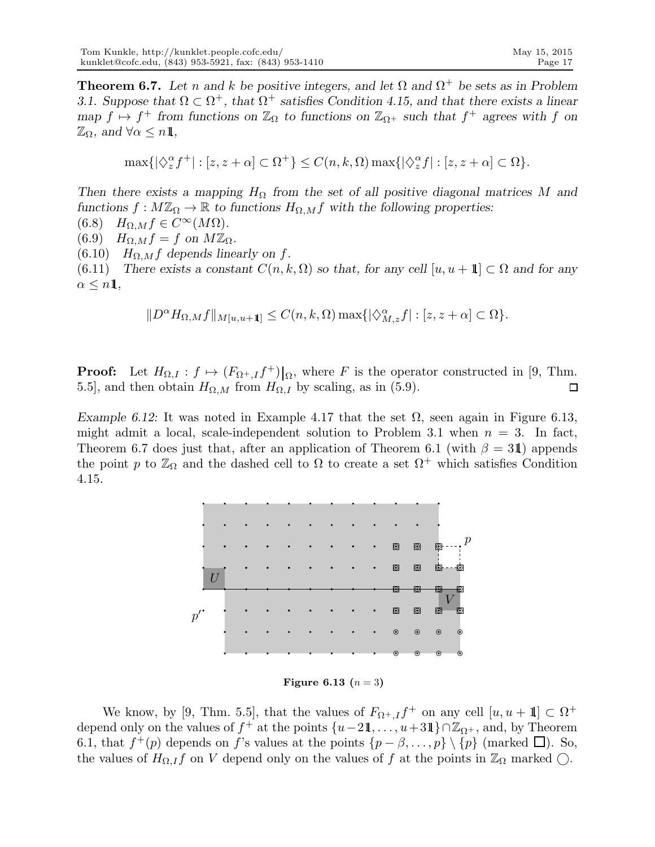**Theorem 6.7.** Let n and k be positive integers, and let  $\Omega$  and  $\Omega^+$  be sets as in Problem 3.1. Suppose that  $\Omega \subset \Omega^+$ , that  $\Omega^+$  satisfies Condition 4.15, and that there exists a linear map  $f \mapsto f^+$  from functions on  $\mathbb{Z}_{\Omega}$  to functions on  $\mathbb{Z}_{\Omega^+}$  such that  $f^+$  agrees with f on  $\mathbb{Z}_{\Omega}$ , and  $\forall \alpha \leq n\mathbf{1}$ ,

$$
\max\{|\diamondsuit_z^{\alpha}f^+|:[z,z+\alpha]\subset\Omega^+\}\leq C(n,k,\Omega)\max\{|\diamondsuit_z^{\alpha}f|:[z,z+\alpha]\subset\Omega\}.
$$

Then there exists a mapping  $H_{\Omega}$  from the set of all positive diagonal matrices M and functions  $f : M\mathbb{Z}_{\Omega} \to \mathbb{R}$  to functions  $H_{\Omega,M}f$  with the following properties:

 $(6.8)$   $H_{\Omega,M} f \in C^{\infty}(M\Omega)$ .

(6.9)  $H_{\Omega,M}f = f$  on  $M\mathbb{Z}_{\Omega}$ .

(6.10)  $H_{\Omega,M}f$  depends linearly on f.

(6.11) There exists a constant  $C(n, k, \Omega)$  so that, for any cell  $[u, u + 1] \subset \Omega$  and for any  $\alpha \leq n\mathbf{1},$ 

$$
||D^{\alpha}H_{\Omega,M}f||_{M[u,u+1]} \leq C(n,k,\Omega) \max\{|\langle \hat{\gamma}_{M,z}^{\alpha}f| : [z,z+\alpha] \subset \Omega\}.
$$

**Proof:** Let  $H_{\Omega,I} : f \mapsto (F_{\Omega^+,I} f^+) \mid_{\Omega}$ , where F is the operator constructed in [9, Thm. 5.5], and then obtain  $H_{\Omega,M}$  from  $H_{\Omega,I}$  by scaling, as in (5.9).  $\Box$ 

Example 6.12: It was noted in Example 4.17 that the set  $\Omega$ , seen again in Figure 6.13, might admit a local, scale-independent solution to Problem 3.1 when  $n = 3$ . In fact, Theorem 6.7 does just that, after an application of Theorem 6.1 (with  $\beta = 31$ ) appends the point p to  $\mathbb{Z}_{\Omega}$  and the dashed cell to  $\Omega$  to create a set  $\Omega^+$  which satisfies Condition 4.15.



**Figure 6.13**  $(n = 3)$ 

We know, by [9, Thm. 5.5], that the values of  $F_{\Omega^+,I}f^+$  on any cell  $[u, u + 1] \subset \Omega^+$ depend only on the values of  $f^+$  at the points  $\{u-2\mathbb{1}, \ldots, u+3\mathbb{1}\}\cap \mathbb{Z}_{\Omega^+}$ , and, by Theorem 6.1, that  $f^+(p)$  depends on f's values at the points  $\{p-\beta,\ldots,p\}\setminus\{p\}$  (marked  $\Box$ ). So, the values of  $H_{\Omega,I}f$  on V depend only on the values of f at the points in  $\mathbb{Z}_{\Omega}$  marked  $\bigcirc$ .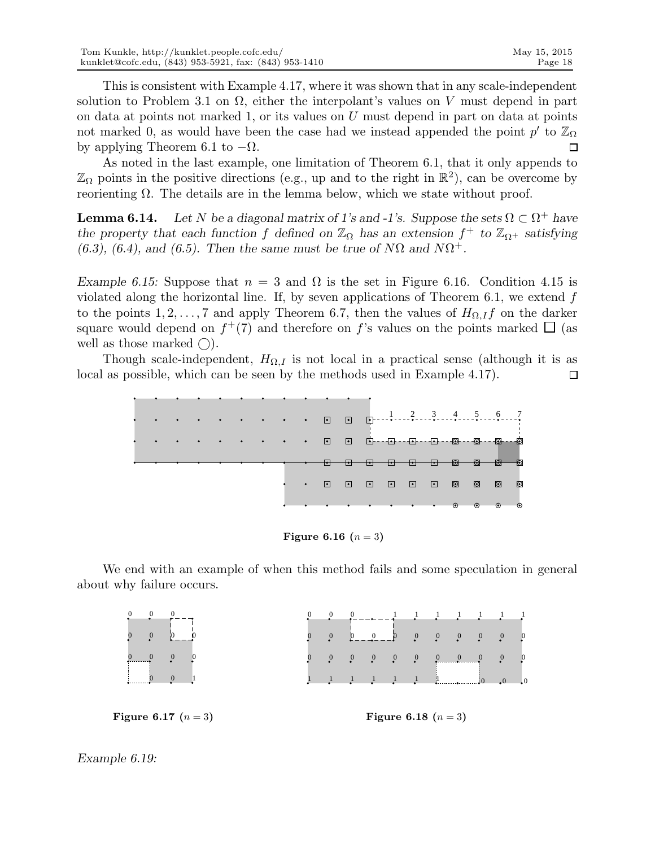This is consistent with Example 4.17, where it was shown that in any scale-independent solution to Problem 3.1 on  $\Omega$ , either the interpolant's values on V must depend in part on data at points not marked 1, or its values on  $U$  must depend in part on data at points not marked 0, as would have been the case had we instead appended the point  $p'$  to  $\mathbb{Z}_{\Omega}$ by applying Theorem 6.1 to  $-\Omega$ .  $\Box$ 

As noted in the last example, one limitation of Theorem 6.1, that it only appends to  $\mathbb{Z}_{\Omega}$  points in the positive directions (e.g., up and to the right in  $\mathbb{R}^2$ ), can be overcome by reorienting  $Ω$ . The details are in the lemma below, which we state without proof.

**Lemma 6.14.** Let N be a diagonal matrix of 1's and -1's. Suppose the sets  $\Omega \subset \Omega^+$  have the property that each function f defined on  $\mathbb{Z}_{\Omega}$  has an extension  $f^+$  to  $\mathbb{Z}_{\Omega^+}$  satisfying (6.3), (6.4), and (6.5). Then the same must be true of  $N\Omega$  and  $N\Omega^+$ .

Example 6.15: Suppose that  $n = 3$  and  $\Omega$  is the set in Figure 6.16. Condition 4.15 is violated along the horizontal line. If, by seven applications of Theorem 6.1, we extend  $f$ to the points 1, 2, ..., 7 and apply Theorem 6.7, then the values of  $H_{\Omega,I}f$  on the darker square would depend on  $f^+(7)$  and therefore on f's values on the points marked  $\square$  (as well as those marked  $\bigcirc$ ).

Though scale-independent,  $H_{\Omega,I}$  is not local in a practical sense (although it is as local as possible, which can be seen by the methods used in Example 4.17).  $\Box$ 



**Figure 6.16**  $(n = 3)$ 

We end with an example of when this method fails and some speculation in general about why failure occurs.

| $\begin{matrix} 0 & 0 & 0 \\ 0 & -\end{matrix}$ |                              |  |  |  |  |  | $\begin{array}{ccccccccccccc}\n0 & 0 & 0 & 0 & - & - & - & \frac{1}{2} & \frac{1}{2} & \frac{1}{2} & \frac{1}{2} & \frac{1}{2} & \frac{1}{2} & \frac{1}{2} & \frac{1}{2}\n\end{array}$ |  |  |  |  |
|-------------------------------------------------|------------------------------|--|--|--|--|--|----------------------------------------------------------------------------------------------------------------------------------------------------------------------------------------|--|--|--|--|
| $\begin{matrix}0&0\\0&0\end{matrix}$<br>$0 - 0$ |                              |  |  |  |  |  | $\begin{array}{ccccccccccccc}\n0 & 0 & 0 & 0 & 0 & 0 & 0 & 0\n\end{array}$                                                                                                             |  |  |  |  |
| $\begin{matrix} 0 & 0 & 0 & 0 \end{matrix}$     |                              |  |  |  |  |  |                                                                                                                                                                                        |  |  |  |  |
|                                                 |                              |  |  |  |  |  |                                                                                                                                                                                        |  |  |  |  |
|                                                 |                              |  |  |  |  |  |                                                                                                                                                                                        |  |  |  |  |
| <b>Figure 6.17</b> $(n = 3)$                    | <b>Figure 6.18</b> $(n = 3)$ |  |  |  |  |  |                                                                                                                                                                                        |  |  |  |  |

Example 6.19: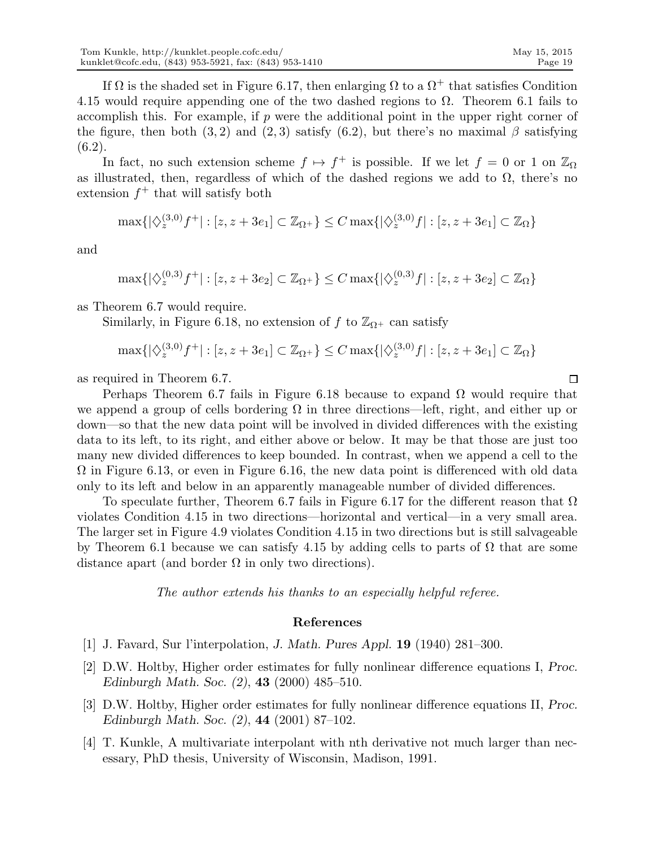If  $\Omega$  is the shaded set in Figure 6.17, then enlarging  $\Omega$  to a  $\Omega^+$  that satisfies Condition 4.15 would require appending one of the two dashed regions to  $\Omega$ . Theorem 6.1 fails to accomplish this. For example, if  $p$  were the additional point in the upper right corner of the figure, then both (3, 2) and (2, 3) satisfy (6.2), but there's no maximal  $\beta$  satisfying (6.2).

In fact, no such extension scheme  $f \mapsto f^+$  is possible. If we let  $f = 0$  or 1 on  $\mathbb{Z}_{\Omega}$ as illustrated, then, regardless of which of the dashed regions we add to  $\Omega$ , there's no  $extension f<sup>+</sup> that will satisfy both$ 

$$
\max\{|\diamondsuit_z^{(3,0)}f^+| : [z, z + 3e_1] \subset \mathbb{Z}_{\Omega^+}\} \le C \max\{|\diamondsuit_z^{(3,0)}f| : [z, z + 3e_1] \subset \mathbb{Z}_{\Omega}\}\
$$

and

 $\max\{|\diamondsuit^{(0,3)}_z f^+|: [z,z+3e_2] \subset \mathbb{Z}_{\Omega^+}\}\leq C \max\{|\diamondsuit^{(0,3)}_z f|: [z,z+3e_2] \subset \mathbb{Z}_{\Omega}\}$ 

as Theorem 6.7 would require.

Similarly, in Figure 6.18, no extension of f to  $\mathbb{Z}_{\Omega^+}$  can satisfy

$$
\max\{|\diamondsuit_z^{(3,0)}f^+| : [z, z + 3e_1] \subset \mathbb{Z}_{\Omega^+}\} \le C \max\{|\diamondsuit_z^{(3,0)}f| : [z, z + 3e_1] \subset \mathbb{Z}_{\Omega}\}\
$$

as required in Theorem 6.7.

Perhaps Theorem 6.7 fails in Figure 6.18 because to expand  $\Omega$  would require that we append a group of cells bordering  $\Omega$  in three directions—left, right, and either up or down—so that the new data point will be involved in divided differences with the existing data to its left, to its right, and either above or below. It may be that those are just too many new divided differences to keep bounded. In contrast, when we append a cell to the  $\Omega$  in Figure 6.13, or even in Figure 6.16, the new data point is differenced with old data only to its left and below in an apparently manageable number of divided differences.

To speculate further, Theorem 6.7 fails in Figure 6.17 for the different reason that  $\Omega$ violates Condition 4.15 in two directions—horizontal and vertical—in a very small area. The larger set in Figure 4.9 violates Condition 4.15 in two directions but is still salvageable by Theorem 6.1 because we can satisfy 4.15 by adding cells to parts of  $\Omega$  that are some distance apart (and border  $\Omega$  in only two directions).

The author extends his thanks to an especially helpful referee.

#### References

- [1] J. Favard, Sur l'interpolation, J. Math. Pures Appl. 19 (1940) 281–300.
- [2] D.W. Holtby, Higher order estimates for fully nonlinear difference equations I, Proc. Edinburgh Math. Soc. (2), 43 (2000) 485–510.
- [3] D.W. Holtby, Higher order estimates for fully nonlinear difference equations II, Proc. Edinburgh Math. Soc. (2), 44 (2001) 87–102.
- [4] T. Kunkle, A multivariate interpolant with nth derivative not much larger than necessary, PhD thesis, University of Wisconsin, Madison, 1991.

 $\Box$